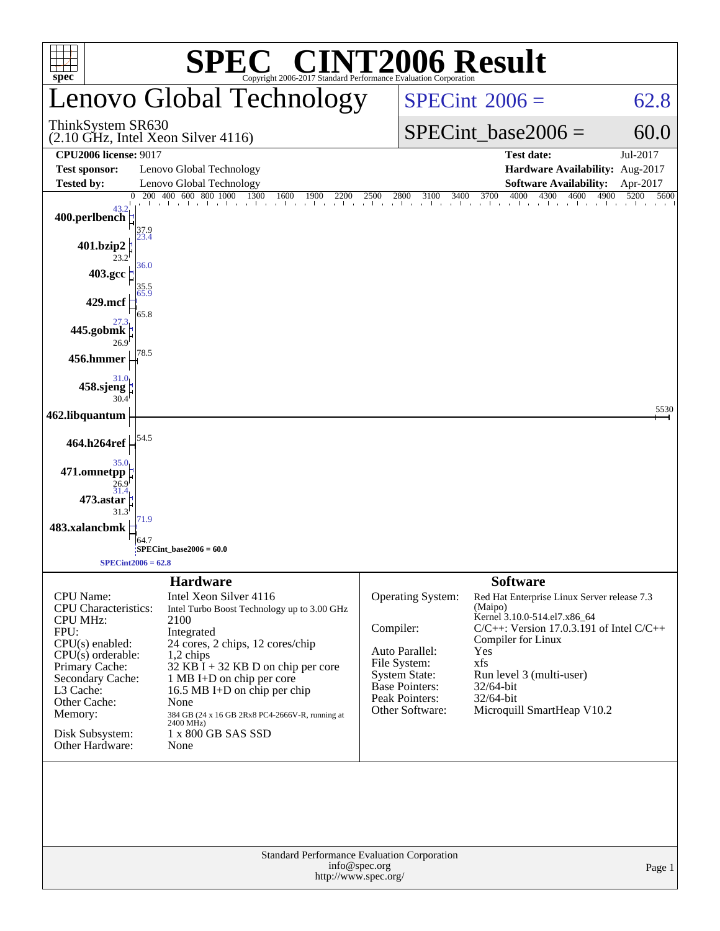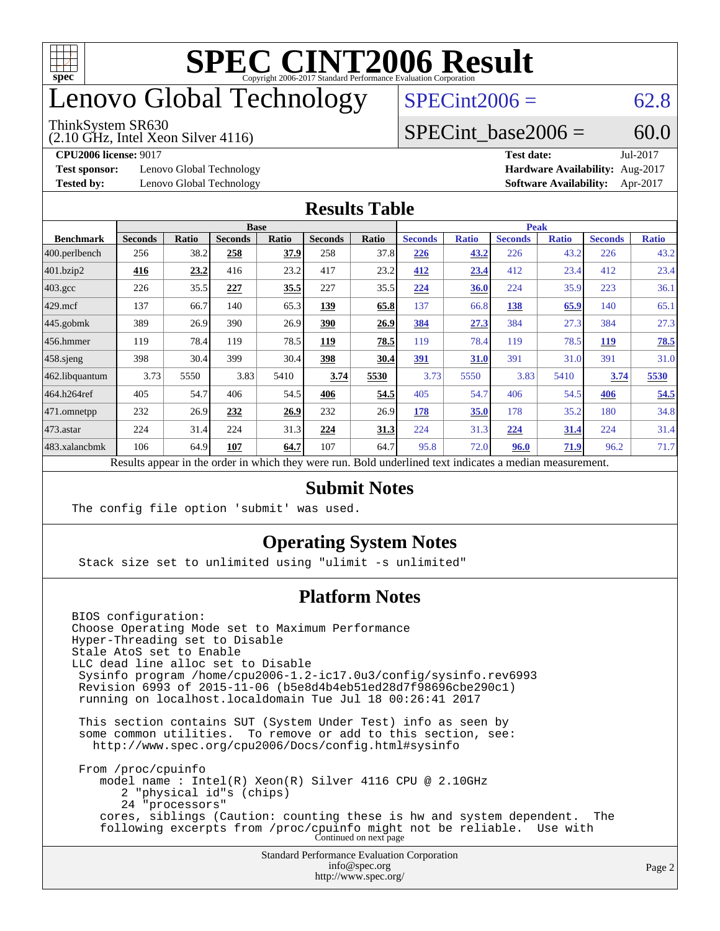

### enovo Global Technology

#### ThinkSystem SR630

(2.10 GHz, Intel Xeon Silver 4116)

 $SPECint2006 = 62.8$  $SPECint2006 = 62.8$ 

### SPECint base2006 =  $60.0$

**[Test sponsor:](http://www.spec.org/auto/cpu2006/Docs/result-fields.html#Testsponsor)** Lenovo Global Technology **[Hardware Availability:](http://www.spec.org/auto/cpu2006/Docs/result-fields.html#HardwareAvailability)** Aug-2017

**[CPU2006 license:](http://www.spec.org/auto/cpu2006/Docs/result-fields.html#CPU2006license)** 9017 **[Test date:](http://www.spec.org/auto/cpu2006/Docs/result-fields.html#Testdate)** Jul-2017 **[Tested by:](http://www.spec.org/auto/cpu2006/Docs/result-fields.html#Testedby)** Lenovo Global Technology **[Software Availability:](http://www.spec.org/auto/cpu2006/Docs/result-fields.html#SoftwareAvailability)** Apr-2017

#### **[Results Table](http://www.spec.org/auto/cpu2006/Docs/result-fields.html#ResultsTable)**

|                    | <b>Base</b>                                                                                              |              |                |       |                | <b>Peak</b> |                |              |                |              |                |              |
|--------------------|----------------------------------------------------------------------------------------------------------|--------------|----------------|-------|----------------|-------------|----------------|--------------|----------------|--------------|----------------|--------------|
| <b>Benchmark</b>   | <b>Seconds</b>                                                                                           | <b>Ratio</b> | <b>Seconds</b> | Ratio | <b>Seconds</b> | Ratio       | <b>Seconds</b> | <b>Ratio</b> | <b>Seconds</b> | <b>Ratio</b> | <b>Seconds</b> | <b>Ratio</b> |
| 400.perlbench      | 256                                                                                                      | 38.2         | 258            | 37.9  | 258            | 37.8        | 226            | 43.2         | 226            | 43.2         | 226            | 43.2         |
| 401.bzip2          | 416                                                                                                      | 23.2         | 416            | 23.2  | 417            | 23.2        | 412            | 23.4         | 412            | 23.4         | 412            | 23.4         |
| $403.\mathrm{gcc}$ | 226                                                                                                      | 35.5         | 227            | 35.5  | 227            | 35.5        | 224            | 36.0         | 224            | 35.9         | 223            | 36.1         |
| $429$ mcf          | 137                                                                                                      | 66.7         | 140            | 65.3  | 139            | 65.8        | 137            | 66.8         | 138            | 65.9         | 140            | 65.1         |
| $445$ .gobmk       | 389                                                                                                      | 26.9         | 390            | 26.9  | 390            | 26.9        | 384            | 27.3         | 384            | 27.3         | 384            | 27.3         |
| $456.$ hmmer       | 119                                                                                                      | 78.4         | 119            | 78.5  | 119            | 78.5        | 119            | 78.4         | 119            | 78.5         | 119            | 78.5         |
| $458$ .sjeng       | 398                                                                                                      | 30.4         | 399            | 30.4  | 398            | 30.4        | 391            | 31.0         | 391            | 31.0         | 391            | 31.0         |
| 462.libquantum     | 3.73                                                                                                     | 5550         | 3.83           | 5410  | 3.74           | 5530        | 3.73           | 5550         | 3.83           | 5410         | 3.74           | 5530         |
| 464.h264ref        | 405                                                                                                      | 54.7         | 406            | 54.5  | 406            | 54.5        | 405            | 54.7         | 406            | 54.5         | 406            | 54.5         |
| $ 471$ .omnetpp    | 232                                                                                                      | 26.9         | 232            | 26.9  | 232            | 26.9        | 178            | 35.0         | 178            | 35.2         | 180            | 34.8         |
| $473$ . astar      | 224                                                                                                      | 31.4         | 224            | 31.3  | 224            | 31.3        | 224            | 31.3         | 224            | 31.4         | 224            | 31.4         |
| 483.xalancbmk      | 106                                                                                                      | 64.9         | 107            | 64.7  | 107            | 64.7        | 95.8           | 72.0         | 96.0           | 71.9         | 96.2           | 71.7         |
|                    | Results appear in the order in which they were run. Bold underlined text indicates a median measurement. |              |                |       |                |             |                |              |                |              |                |              |

#### **[Submit Notes](http://www.spec.org/auto/cpu2006/Docs/result-fields.html#SubmitNotes)**

The config file option 'submit' was used.

### **[Operating System Notes](http://www.spec.org/auto/cpu2006/Docs/result-fields.html#OperatingSystemNotes)**

Stack size set to unlimited using "ulimit -s unlimited"

### **[Platform Notes](http://www.spec.org/auto/cpu2006/Docs/result-fields.html#PlatformNotes)**

Standard Performance Evaluation Corporation BIOS configuration: Choose Operating Mode set to Maximum Performance Hyper-Threading set to Disable Stale AtoS set to Enable LLC dead line alloc set to Disable Sysinfo program /home/cpu2006-1.2-ic17.0u3/config/sysinfo.rev6993 Revision 6993 of 2015-11-06 (b5e8d4b4eb51ed28d7f98696cbe290c1) running on localhost.localdomain Tue Jul 18 00:26:41 2017 This section contains SUT (System Under Test) info as seen by some common utilities. To remove or add to this section, see: <http://www.spec.org/cpu2006/Docs/config.html#sysinfo> From /proc/cpuinfo model name : Intel(R) Xeon(R) Silver 4116 CPU @ 2.10GHz 2 "physical id"s (chips) 24 "processors" cores, siblings (Caution: counting these is hw and system dependent. The following excerpts from /proc/cpuinfo might not be reliable. Use with Continued on next page

[info@spec.org](mailto:info@spec.org) <http://www.spec.org/>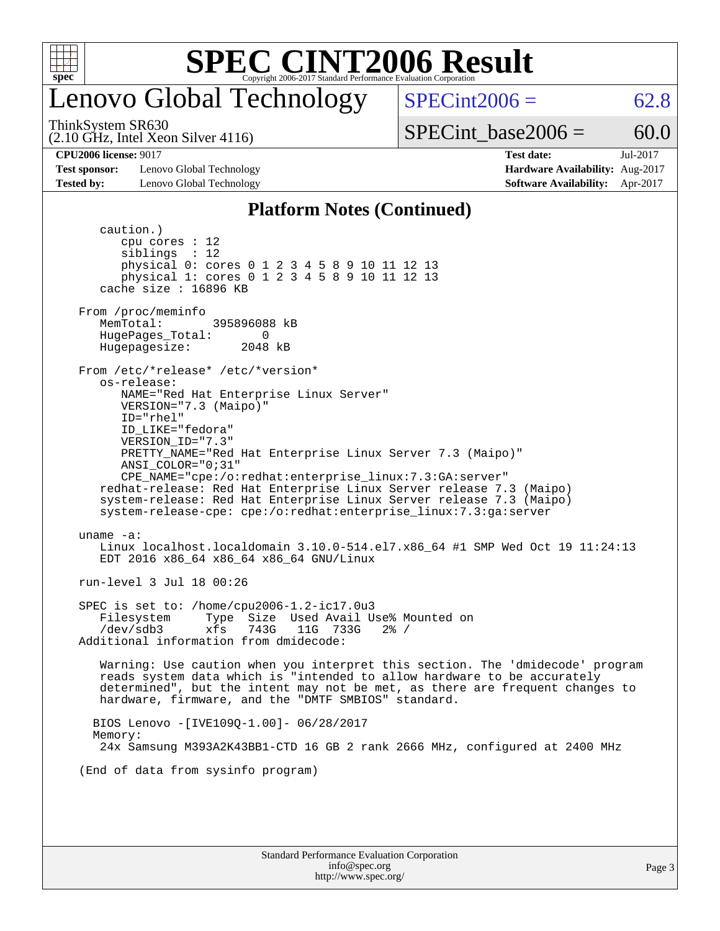

### enovo Global Technology

ThinkSystem SR630

 $SPECint2006 = 62.8$  $SPECint2006 = 62.8$ 

(2.10 GHz, Intel Xeon Silver 4116)

SPECint base2006 =  $60.0$ 

**[Test sponsor:](http://www.spec.org/auto/cpu2006/Docs/result-fields.html#Testsponsor)** Lenovo Global Technology **[Hardware Availability:](http://www.spec.org/auto/cpu2006/Docs/result-fields.html#HardwareAvailability)** Aug-2017 **[Tested by:](http://www.spec.org/auto/cpu2006/Docs/result-fields.html#Testedby)** Lenovo Global Technology **[Software Availability:](http://www.spec.org/auto/cpu2006/Docs/result-fields.html#SoftwareAvailability)** Apr-2017

**[CPU2006 license:](http://www.spec.org/auto/cpu2006/Docs/result-fields.html#CPU2006license)** 9017 **[Test date:](http://www.spec.org/auto/cpu2006/Docs/result-fields.html#Testdate)** Jul-2017

#### **[Platform Notes \(Continued\)](http://www.spec.org/auto/cpu2006/Docs/result-fields.html#PlatformNotes)**

 caution.) cpu cores : 12 siblings : 12 physical 0: cores 0 1 2 3 4 5 8 9 10 11 12 13 physical 1: cores 0 1 2 3 4 5 8 9 10 11 12 13 cache size : 16896 KB From /proc/meminfo MemTotal: 395896088 kB HugePages\_Total: 0<br>Hugepagesize: 2048 kB Hugepagesize: From /etc/\*release\* /etc/\*version\* os-release: NAME="Red Hat Enterprise Linux Server" VERSION="7.3 (Maipo)" ID="rhel" ID\_LIKE="fedora" VERSION\_ID="7.3" PRETTY\_NAME="Red Hat Enterprise Linux Server 7.3 (Maipo)" ANSI\_COLOR="0;31" CPE\_NAME="cpe:/o:redhat:enterprise\_linux:7.3:GA:server" redhat-release: Red Hat Enterprise Linux Server release 7.3 (Maipo) system-release: Red Hat Enterprise Linux Server release 7.3 (Maipo) system-release-cpe: cpe:/o:redhat:enterprise\_linux:7.3:ga:server uname -a: Linux localhost.localdomain 3.10.0-514.el7.x86\_64 #1 SMP Wed Oct 19 11:24:13 EDT 2016 x86\_64 x86\_64 x86\_64 GNU/Linux run-level 3 Jul 18 00:26 SPEC is set to: /home/cpu2006-1.2-ic17.0u3 Filesystem Type Size Used Avail Use% Mounted on<br>
/dev/sdb3 xfs 743G 11G 733G 2% / /dev/sdb3 xfs 743G 11G 733G 2% / Additional information from dmidecode: Warning: Use caution when you interpret this section. The 'dmidecode' program reads system data which is "intended to allow hardware to be accurately determined", but the intent may not be met, as there are frequent changes to hardware, firmware, and the "DMTF SMBIOS" standard. BIOS Lenovo -[IVE109Q-1.00]- 06/28/2017 Memory: 24x Samsung M393A2K43BB1-CTD 16 GB 2 rank 2666 MHz, configured at 2400 MHz (End of data from sysinfo program)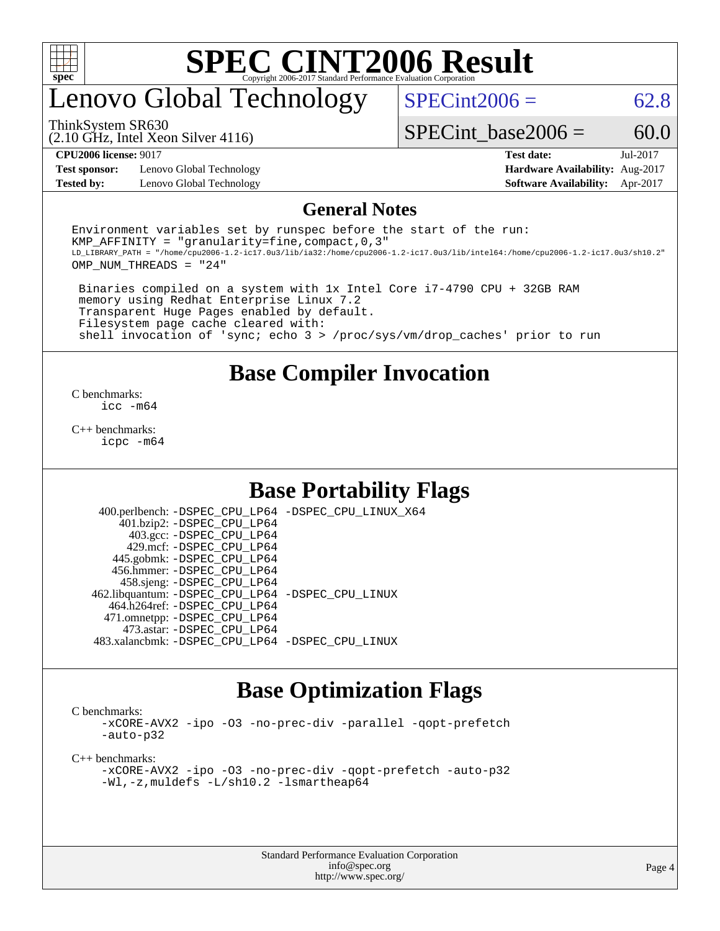

## enovo Global Technology

 $SPECint2006 = 62.8$  $SPECint2006 = 62.8$ 

(2.10 GHz, Intel Xeon Silver 4116) ThinkSystem SR630

SPECint base2006 =  $60.0$ 

**[Test sponsor:](http://www.spec.org/auto/cpu2006/Docs/result-fields.html#Testsponsor)** Lenovo Global Technology **[Hardware Availability:](http://www.spec.org/auto/cpu2006/Docs/result-fields.html#HardwareAvailability)** Aug-2017 **[Tested by:](http://www.spec.org/auto/cpu2006/Docs/result-fields.html#Testedby)** Lenovo Global Technology **[Software Availability:](http://www.spec.org/auto/cpu2006/Docs/result-fields.html#SoftwareAvailability)** Apr-2017

**[CPU2006 license:](http://www.spec.org/auto/cpu2006/Docs/result-fields.html#CPU2006license)** 9017 **[Test date:](http://www.spec.org/auto/cpu2006/Docs/result-fields.html#Testdate)** Jul-2017

#### **[General Notes](http://www.spec.org/auto/cpu2006/Docs/result-fields.html#GeneralNotes)**

Environment variables set by runspec before the start of the run: KMP AFFINITY = "granularity=fine, compact,  $0,3$ " LD\_LIBRARY\_PATH = "/home/cpu2006-1.2-ic17.0u3/lib/ia32:/home/cpu2006-1.2-ic17.0u3/lib/intel64:/home/cpu2006-1.2-ic17.0u3/sh10.2" OMP\_NUM\_THREADS = "24"

 Binaries compiled on a system with 1x Intel Core i7-4790 CPU + 32GB RAM memory using Redhat Enterprise Linux 7.2 Transparent Huge Pages enabled by default. Filesystem page cache cleared with: shell invocation of 'sync; echo 3 > /proc/sys/vm/drop\_caches' prior to run

### **[Base Compiler Invocation](http://www.spec.org/auto/cpu2006/Docs/result-fields.html#BaseCompilerInvocation)**

[C benchmarks](http://www.spec.org/auto/cpu2006/Docs/result-fields.html#Cbenchmarks): [icc -m64](http://www.spec.org/cpu2006/results/res2017q4/cpu2006-20170918-49478.flags.html#user_CCbase_intel_icc_64bit_bda6cc9af1fdbb0edc3795bac97ada53)

[C++ benchmarks:](http://www.spec.org/auto/cpu2006/Docs/result-fields.html#CXXbenchmarks) [icpc -m64](http://www.spec.org/cpu2006/results/res2017q4/cpu2006-20170918-49478.flags.html#user_CXXbase_intel_icpc_64bit_fc66a5337ce925472a5c54ad6a0de310)

### **[Base Portability Flags](http://www.spec.org/auto/cpu2006/Docs/result-fields.html#BasePortabilityFlags)**

 400.perlbench: [-DSPEC\\_CPU\\_LP64](http://www.spec.org/cpu2006/results/res2017q4/cpu2006-20170918-49478.flags.html#b400.perlbench_basePORTABILITY_DSPEC_CPU_LP64) [-DSPEC\\_CPU\\_LINUX\\_X64](http://www.spec.org/cpu2006/results/res2017q4/cpu2006-20170918-49478.flags.html#b400.perlbench_baseCPORTABILITY_DSPEC_CPU_LINUX_X64) 401.bzip2: [-DSPEC\\_CPU\\_LP64](http://www.spec.org/cpu2006/results/res2017q4/cpu2006-20170918-49478.flags.html#suite_basePORTABILITY401_bzip2_DSPEC_CPU_LP64) 403.gcc: [-DSPEC\\_CPU\\_LP64](http://www.spec.org/cpu2006/results/res2017q4/cpu2006-20170918-49478.flags.html#suite_basePORTABILITY403_gcc_DSPEC_CPU_LP64) 429.mcf: [-DSPEC\\_CPU\\_LP64](http://www.spec.org/cpu2006/results/res2017q4/cpu2006-20170918-49478.flags.html#suite_basePORTABILITY429_mcf_DSPEC_CPU_LP64) 445.gobmk: [-DSPEC\\_CPU\\_LP64](http://www.spec.org/cpu2006/results/res2017q4/cpu2006-20170918-49478.flags.html#suite_basePORTABILITY445_gobmk_DSPEC_CPU_LP64) 456.hmmer: [-DSPEC\\_CPU\\_LP64](http://www.spec.org/cpu2006/results/res2017q4/cpu2006-20170918-49478.flags.html#suite_basePORTABILITY456_hmmer_DSPEC_CPU_LP64) 458.sjeng: [-DSPEC\\_CPU\\_LP64](http://www.spec.org/cpu2006/results/res2017q4/cpu2006-20170918-49478.flags.html#suite_basePORTABILITY458_sjeng_DSPEC_CPU_LP64) 462.libquantum: [-DSPEC\\_CPU\\_LP64](http://www.spec.org/cpu2006/results/res2017q4/cpu2006-20170918-49478.flags.html#suite_basePORTABILITY462_libquantum_DSPEC_CPU_LP64) [-DSPEC\\_CPU\\_LINUX](http://www.spec.org/cpu2006/results/res2017q4/cpu2006-20170918-49478.flags.html#b462.libquantum_baseCPORTABILITY_DSPEC_CPU_LINUX) 464.h264ref: [-DSPEC\\_CPU\\_LP64](http://www.spec.org/cpu2006/results/res2017q4/cpu2006-20170918-49478.flags.html#suite_basePORTABILITY464_h264ref_DSPEC_CPU_LP64) 471.omnetpp: [-DSPEC\\_CPU\\_LP64](http://www.spec.org/cpu2006/results/res2017q4/cpu2006-20170918-49478.flags.html#suite_basePORTABILITY471_omnetpp_DSPEC_CPU_LP64) 473.astar: [-DSPEC\\_CPU\\_LP64](http://www.spec.org/cpu2006/results/res2017q4/cpu2006-20170918-49478.flags.html#suite_basePORTABILITY473_astar_DSPEC_CPU_LP64) 483.xalancbmk: [-DSPEC\\_CPU\\_LP64](http://www.spec.org/cpu2006/results/res2017q4/cpu2006-20170918-49478.flags.html#suite_basePORTABILITY483_xalancbmk_DSPEC_CPU_LP64) [-DSPEC\\_CPU\\_LINUX](http://www.spec.org/cpu2006/results/res2017q4/cpu2006-20170918-49478.flags.html#b483.xalancbmk_baseCXXPORTABILITY_DSPEC_CPU_LINUX)

### **[Base Optimization Flags](http://www.spec.org/auto/cpu2006/Docs/result-fields.html#BaseOptimizationFlags)**

[C benchmarks](http://www.spec.org/auto/cpu2006/Docs/result-fields.html#Cbenchmarks):

[-xCORE-AVX2](http://www.spec.org/cpu2006/results/res2017q4/cpu2006-20170918-49478.flags.html#user_CCbase_f-xCORE-AVX2) [-ipo](http://www.spec.org/cpu2006/results/res2017q4/cpu2006-20170918-49478.flags.html#user_CCbase_f-ipo) [-O3](http://www.spec.org/cpu2006/results/res2017q4/cpu2006-20170918-49478.flags.html#user_CCbase_f-O3) [-no-prec-div](http://www.spec.org/cpu2006/results/res2017q4/cpu2006-20170918-49478.flags.html#user_CCbase_f-no-prec-div) [-parallel](http://www.spec.org/cpu2006/results/res2017q4/cpu2006-20170918-49478.flags.html#user_CCbase_f-parallel) [-qopt-prefetch](http://www.spec.org/cpu2006/results/res2017q4/cpu2006-20170918-49478.flags.html#user_CCbase_f-qopt-prefetch) [-auto-p32](http://www.spec.org/cpu2006/results/res2017q4/cpu2006-20170918-49478.flags.html#user_CCbase_f-auto-p32)

[C++ benchmarks:](http://www.spec.org/auto/cpu2006/Docs/result-fields.html#CXXbenchmarks)

[-xCORE-AVX2](http://www.spec.org/cpu2006/results/res2017q4/cpu2006-20170918-49478.flags.html#user_CXXbase_f-xCORE-AVX2) [-ipo](http://www.spec.org/cpu2006/results/res2017q4/cpu2006-20170918-49478.flags.html#user_CXXbase_f-ipo) [-O3](http://www.spec.org/cpu2006/results/res2017q4/cpu2006-20170918-49478.flags.html#user_CXXbase_f-O3) [-no-prec-div](http://www.spec.org/cpu2006/results/res2017q4/cpu2006-20170918-49478.flags.html#user_CXXbase_f-no-prec-div) [-qopt-prefetch](http://www.spec.org/cpu2006/results/res2017q4/cpu2006-20170918-49478.flags.html#user_CXXbase_f-qopt-prefetch) [-auto-p32](http://www.spec.org/cpu2006/results/res2017q4/cpu2006-20170918-49478.flags.html#user_CXXbase_f-auto-p32) [-Wl,-z,muldefs](http://www.spec.org/cpu2006/results/res2017q4/cpu2006-20170918-49478.flags.html#user_CXXbase_link_force_multiple1_74079c344b956b9658436fd1b6dd3a8a) [-L/sh10.2 -lsmartheap64](http://www.spec.org/cpu2006/results/res2017q4/cpu2006-20170918-49478.flags.html#user_CXXbase_SmartHeap64_63911d860fc08c15fa1d5bf319b9d8d5)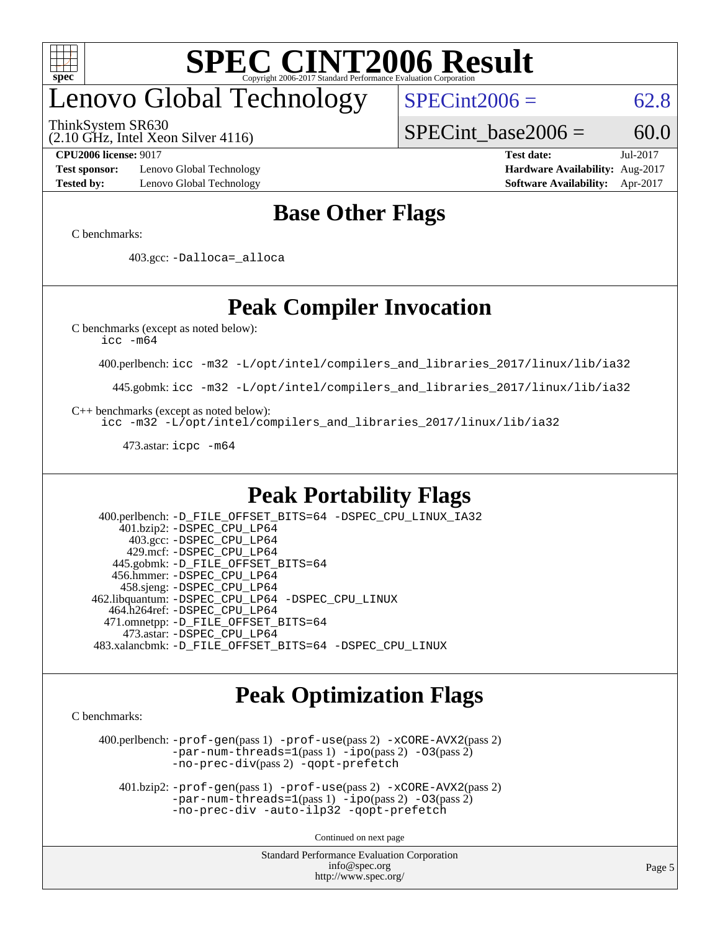

## enovo Global Technology

ThinkSystem SR630

(2.10 GHz, Intel Xeon Silver 4116)

 $SPECint2006 = 62.8$  $SPECint2006 = 62.8$ 

SPECint base2006 =  $60.0$ 

**[Test sponsor:](http://www.spec.org/auto/cpu2006/Docs/result-fields.html#Testsponsor)** Lenovo Global Technology **[Hardware Availability:](http://www.spec.org/auto/cpu2006/Docs/result-fields.html#HardwareAvailability)** Aug-2017 **[Tested by:](http://www.spec.org/auto/cpu2006/Docs/result-fields.html#Testedby)** Lenovo Global Technology **[Software Availability:](http://www.spec.org/auto/cpu2006/Docs/result-fields.html#SoftwareAvailability)** Apr-2017

**[CPU2006 license:](http://www.spec.org/auto/cpu2006/Docs/result-fields.html#CPU2006license)** 9017 **[Test date:](http://www.spec.org/auto/cpu2006/Docs/result-fields.html#Testdate)** Jul-2017

### **[Base Other Flags](http://www.spec.org/auto/cpu2006/Docs/result-fields.html#BaseOtherFlags)**

[C benchmarks](http://www.spec.org/auto/cpu2006/Docs/result-fields.html#Cbenchmarks):

403.gcc: [-Dalloca=\\_alloca](http://www.spec.org/cpu2006/results/res2017q4/cpu2006-20170918-49478.flags.html#b403.gcc_baseEXTRA_CFLAGS_Dalloca_be3056838c12de2578596ca5467af7f3)

### **[Peak Compiler Invocation](http://www.spec.org/auto/cpu2006/Docs/result-fields.html#PeakCompilerInvocation)**

[C benchmarks \(except as noted below\)](http://www.spec.org/auto/cpu2006/Docs/result-fields.html#Cbenchmarksexceptasnotedbelow):

[icc -m64](http://www.spec.org/cpu2006/results/res2017q4/cpu2006-20170918-49478.flags.html#user_CCpeak_intel_icc_64bit_bda6cc9af1fdbb0edc3795bac97ada53)

400.perlbench: [icc -m32 -L/opt/intel/compilers\\_and\\_libraries\\_2017/linux/lib/ia32](http://www.spec.org/cpu2006/results/res2017q4/cpu2006-20170918-49478.flags.html#user_peakCCLD400_perlbench_intel_icc_c29f3ff5a7ed067b11e4ec10a03f03ae)

445.gobmk: [icc -m32 -L/opt/intel/compilers\\_and\\_libraries\\_2017/linux/lib/ia32](http://www.spec.org/cpu2006/results/res2017q4/cpu2006-20170918-49478.flags.html#user_peakCCLD445_gobmk_intel_icc_c29f3ff5a7ed067b11e4ec10a03f03ae)

[C++ benchmarks \(except as noted below\):](http://www.spec.org/auto/cpu2006/Docs/result-fields.html#CXXbenchmarksexceptasnotedbelow)

[icc -m32 -L/opt/intel/compilers\\_and\\_libraries\\_2017/linux/lib/ia32](http://www.spec.org/cpu2006/results/res2017q4/cpu2006-20170918-49478.flags.html#user_CXXpeak_intel_icc_c29f3ff5a7ed067b11e4ec10a03f03ae)

473.astar: [icpc -m64](http://www.spec.org/cpu2006/results/res2017q4/cpu2006-20170918-49478.flags.html#user_peakCXXLD473_astar_intel_icpc_64bit_fc66a5337ce925472a5c54ad6a0de310)

### **[Peak Portability Flags](http://www.spec.org/auto/cpu2006/Docs/result-fields.html#PeakPortabilityFlags)**

 400.perlbench: [-D\\_FILE\\_OFFSET\\_BITS=64](http://www.spec.org/cpu2006/results/res2017q4/cpu2006-20170918-49478.flags.html#user_peakPORTABILITY400_perlbench_file_offset_bits_64_438cf9856305ebd76870a2c6dc2689ab) [-DSPEC\\_CPU\\_LINUX\\_IA32](http://www.spec.org/cpu2006/results/res2017q4/cpu2006-20170918-49478.flags.html#b400.perlbench_peakCPORTABILITY_DSPEC_CPU_LINUX_IA32) 401.bzip2: [-DSPEC\\_CPU\\_LP64](http://www.spec.org/cpu2006/results/res2017q4/cpu2006-20170918-49478.flags.html#suite_peakPORTABILITY401_bzip2_DSPEC_CPU_LP64) 403.gcc: [-DSPEC\\_CPU\\_LP64](http://www.spec.org/cpu2006/results/res2017q4/cpu2006-20170918-49478.flags.html#suite_peakPORTABILITY403_gcc_DSPEC_CPU_LP64) 429.mcf: [-DSPEC\\_CPU\\_LP64](http://www.spec.org/cpu2006/results/res2017q4/cpu2006-20170918-49478.flags.html#suite_peakPORTABILITY429_mcf_DSPEC_CPU_LP64) 445.gobmk: [-D\\_FILE\\_OFFSET\\_BITS=64](http://www.spec.org/cpu2006/results/res2017q4/cpu2006-20170918-49478.flags.html#user_peakPORTABILITY445_gobmk_file_offset_bits_64_438cf9856305ebd76870a2c6dc2689ab) 456.hmmer: [-DSPEC\\_CPU\\_LP64](http://www.spec.org/cpu2006/results/res2017q4/cpu2006-20170918-49478.flags.html#suite_peakPORTABILITY456_hmmer_DSPEC_CPU_LP64) 458.sjeng: [-DSPEC\\_CPU\\_LP64](http://www.spec.org/cpu2006/results/res2017q4/cpu2006-20170918-49478.flags.html#suite_peakPORTABILITY458_sjeng_DSPEC_CPU_LP64) 462.libquantum: [-DSPEC\\_CPU\\_LP64](http://www.spec.org/cpu2006/results/res2017q4/cpu2006-20170918-49478.flags.html#suite_peakPORTABILITY462_libquantum_DSPEC_CPU_LP64) [-DSPEC\\_CPU\\_LINUX](http://www.spec.org/cpu2006/results/res2017q4/cpu2006-20170918-49478.flags.html#b462.libquantum_peakCPORTABILITY_DSPEC_CPU_LINUX) 464.h264ref: [-DSPEC\\_CPU\\_LP64](http://www.spec.org/cpu2006/results/res2017q4/cpu2006-20170918-49478.flags.html#suite_peakPORTABILITY464_h264ref_DSPEC_CPU_LP64) 471.omnetpp: [-D\\_FILE\\_OFFSET\\_BITS=64](http://www.spec.org/cpu2006/results/res2017q4/cpu2006-20170918-49478.flags.html#user_peakPORTABILITY471_omnetpp_file_offset_bits_64_438cf9856305ebd76870a2c6dc2689ab) 473.astar: [-DSPEC\\_CPU\\_LP64](http://www.spec.org/cpu2006/results/res2017q4/cpu2006-20170918-49478.flags.html#suite_peakPORTABILITY473_astar_DSPEC_CPU_LP64) 483.xalancbmk: [-D\\_FILE\\_OFFSET\\_BITS=64](http://www.spec.org/cpu2006/results/res2017q4/cpu2006-20170918-49478.flags.html#user_peakPORTABILITY483_xalancbmk_file_offset_bits_64_438cf9856305ebd76870a2c6dc2689ab) [-DSPEC\\_CPU\\_LINUX](http://www.spec.org/cpu2006/results/res2017q4/cpu2006-20170918-49478.flags.html#b483.xalancbmk_peakCXXPORTABILITY_DSPEC_CPU_LINUX)

### **[Peak Optimization Flags](http://www.spec.org/auto/cpu2006/Docs/result-fields.html#PeakOptimizationFlags)**

[C benchmarks](http://www.spec.org/auto/cpu2006/Docs/result-fields.html#Cbenchmarks):

 400.perlbench: [-prof-gen](http://www.spec.org/cpu2006/results/res2017q4/cpu2006-20170918-49478.flags.html#user_peakPASS1_CFLAGSPASS1_LDCFLAGS400_perlbench_prof_gen_e43856698f6ca7b7e442dfd80e94a8fc)(pass 1) [-prof-use](http://www.spec.org/cpu2006/results/res2017q4/cpu2006-20170918-49478.flags.html#user_peakPASS2_CFLAGSPASS2_LDCFLAGS400_perlbench_prof_use_bccf7792157ff70d64e32fe3e1250b55)(pass 2) [-xCORE-AVX2](http://www.spec.org/cpu2006/results/res2017q4/cpu2006-20170918-49478.flags.html#user_peakPASS2_CFLAGSPASS2_LDCFLAGS400_perlbench_f-xCORE-AVX2)(pass 2) [-par-num-threads=1](http://www.spec.org/cpu2006/results/res2017q4/cpu2006-20170918-49478.flags.html#user_peakPASS1_CFLAGSPASS1_LDCFLAGS400_perlbench_par_num_threads_786a6ff141b4e9e90432e998842df6c2)(pass 1) [-ipo](http://www.spec.org/cpu2006/results/res2017q4/cpu2006-20170918-49478.flags.html#user_peakPASS2_CFLAGSPASS2_LDCFLAGS400_perlbench_f-ipo)(pass 2) [-O3](http://www.spec.org/cpu2006/results/res2017q4/cpu2006-20170918-49478.flags.html#user_peakPASS2_CFLAGSPASS2_LDCFLAGS400_perlbench_f-O3)(pass 2) [-no-prec-div](http://www.spec.org/cpu2006/results/res2017q4/cpu2006-20170918-49478.flags.html#user_peakPASS2_CFLAGSPASS2_LDCFLAGS400_perlbench_f-no-prec-div)(pass 2) [-qopt-prefetch](http://www.spec.org/cpu2006/results/res2017q4/cpu2006-20170918-49478.flags.html#user_peakCOPTIMIZE400_perlbench_f-qopt-prefetch)

 401.bzip2: [-prof-gen](http://www.spec.org/cpu2006/results/res2017q4/cpu2006-20170918-49478.flags.html#user_peakPASS1_CFLAGSPASS1_LDCFLAGS401_bzip2_prof_gen_e43856698f6ca7b7e442dfd80e94a8fc)(pass 1) [-prof-use](http://www.spec.org/cpu2006/results/res2017q4/cpu2006-20170918-49478.flags.html#user_peakPASS2_CFLAGSPASS2_LDCFLAGS401_bzip2_prof_use_bccf7792157ff70d64e32fe3e1250b55)(pass 2) [-xCORE-AVX2](http://www.spec.org/cpu2006/results/res2017q4/cpu2006-20170918-49478.flags.html#user_peakPASS2_CFLAGSPASS2_LDCFLAGS401_bzip2_f-xCORE-AVX2)(pass 2)  $-par-num-threads=1(pass 1) -ipo(pass 2) -O3(pass 2)$  $-par-num-threads=1(pass 1) -ipo(pass 2) -O3(pass 2)$  $-par-num-threads=1(pass 1) -ipo(pass 2) -O3(pass 2)$  $-par-num-threads=1(pass 1) -ipo(pass 2) -O3(pass 2)$  $-par-num-threads=1(pass 1) -ipo(pass 2) -O3(pass 2)$  $-par-num-threads=1(pass 1) -ipo(pass 2) -O3(pass 2)$ [-no-prec-div](http://www.spec.org/cpu2006/results/res2017q4/cpu2006-20170918-49478.flags.html#user_peakCOPTIMIZEPASS2_CFLAGSPASS2_LDCFLAGS401_bzip2_f-no-prec-div) [-auto-ilp32](http://www.spec.org/cpu2006/results/res2017q4/cpu2006-20170918-49478.flags.html#user_peakCOPTIMIZE401_bzip2_f-auto-ilp32) [-qopt-prefetch](http://www.spec.org/cpu2006/results/res2017q4/cpu2006-20170918-49478.flags.html#user_peakCOPTIMIZE401_bzip2_f-qopt-prefetch)

Continued on next page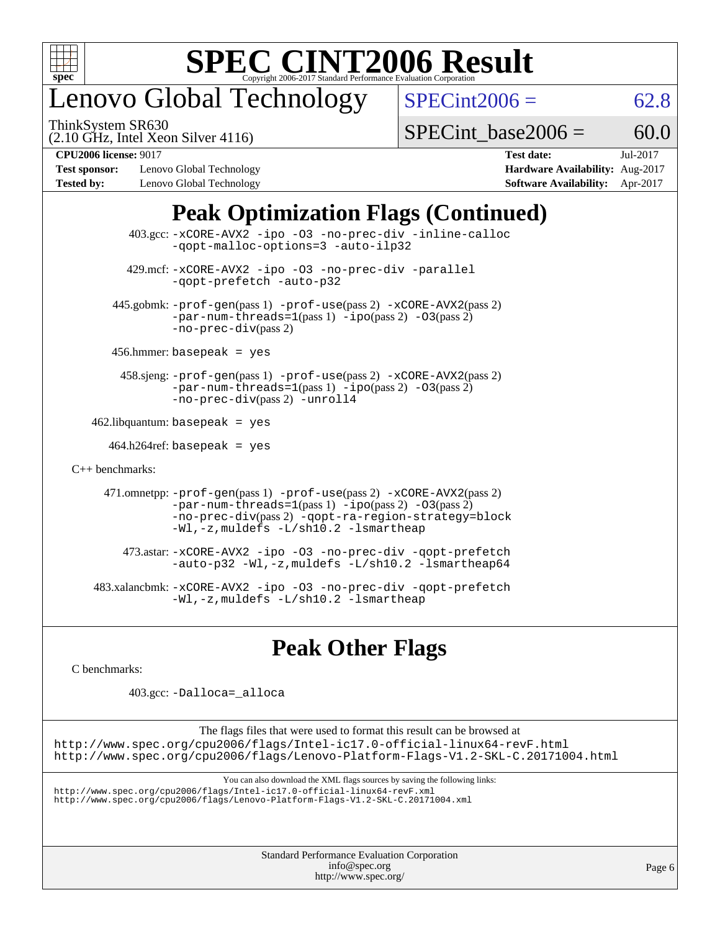

## enovo Global Technology

ThinkSystem SR630

 $SPECint2006 = 62.8$  $SPECint2006 = 62.8$ 

(2.10 GHz, Intel Xeon Silver 4116)

SPECint base2006 =  $60.0$ 

**[Test sponsor:](http://www.spec.org/auto/cpu2006/Docs/result-fields.html#Testsponsor)** Lenovo Global Technology **[Hardware Availability:](http://www.spec.org/auto/cpu2006/Docs/result-fields.html#HardwareAvailability)** Aug-2017 **[Tested by:](http://www.spec.org/auto/cpu2006/Docs/result-fields.html#Testedby)** Lenovo Global Technology **[Software Availability:](http://www.spec.org/auto/cpu2006/Docs/result-fields.html#SoftwareAvailability)** Apr-2017

**[CPU2006 license:](http://www.spec.org/auto/cpu2006/Docs/result-fields.html#CPU2006license)** 9017 **[Test date:](http://www.spec.org/auto/cpu2006/Docs/result-fields.html#Testdate)** Jul-2017

### **[Peak Optimization Flags \(Continued\)](http://www.spec.org/auto/cpu2006/Docs/result-fields.html#PeakOptimizationFlags)**

| $403.\text{sec}: -x \text{CORE-AVX2}$ -ipo -03 -no-prec-div -inline-calloc<br>-qopt-malloc-options=3 -auto-ilp32                                                                                                                                   |  |
|----------------------------------------------------------------------------------------------------------------------------------------------------------------------------------------------------------------------------------------------------|--|
| 429.mcf: -xCORE-AVX2 -ipo -03 -no-prec-div -parallel<br>-gopt-prefetch -auto-p32                                                                                                                                                                   |  |
| 445.gobmk: -prof-gen(pass 1) -prof-use(pass 2) -xCORE-AVX2(pass 2)<br>$-par-num-threads=1(pass 1) -ipo(pass 2) -03(pass 2)$<br>$-no\text{-}prec\text{-div}(pass 2)$                                                                                |  |
| $456.$ hmmer: basepeak = yes                                                                                                                                                                                                                       |  |
| 458.sjeng: -prof-gen(pass 1) -prof-use(pass 2) -xCORE-AVX2(pass 2)<br>$-par-num-threads=1(pass 1) -ipo(pass 2) -03(pass 2)$<br>-no-prec-div(pass 2) -unroll4                                                                                       |  |
| $462$ .libquantum: basepeak = yes                                                                                                                                                                                                                  |  |
| $464.h264$ ref: basepeak = yes                                                                                                                                                                                                                     |  |
| $C_{++}$ benchmarks:                                                                                                                                                                                                                               |  |
| 471.omnetpp: $-$ prof $-$ gen(pass 1) $-$ prof $-$ use(pass 2) $-$ xCORE $-$ AVX2(pass 2)<br>$-par-num-threads=1(pass 1) -ipo(pass 2) -03(pass 2)$<br>-no-prec-div(pass 2) -qopt-ra-region-strategy=block<br>-Wl,-z, muldefs -L/sh10.2 -lsmartheap |  |
| 473.astar: -xCORE-AVX2 -ipo -03 -no-prec-div -gopt-prefetch<br>$-$ auto-p32 -Wl,-z, muldefs -L/sh10.2 -lsmartheap64                                                                                                                                |  |
| 483.xalancbmk: -xCORE-AVX2 -ipo -03 -no-prec-div -qopt-prefetch<br>-Wl,-z, muldefs -L/sh10.2 -lsmartheap                                                                                                                                           |  |

### **[Peak Other Flags](http://www.spec.org/auto/cpu2006/Docs/result-fields.html#PeakOtherFlags)**

[C benchmarks](http://www.spec.org/auto/cpu2006/Docs/result-fields.html#Cbenchmarks):

403.gcc: [-Dalloca=\\_alloca](http://www.spec.org/cpu2006/results/res2017q4/cpu2006-20170918-49478.flags.html#b403.gcc_peakEXTRA_CFLAGS_Dalloca_be3056838c12de2578596ca5467af7f3)

The flags files that were used to format this result can be browsed at <http://www.spec.org/cpu2006/flags/Intel-ic17.0-official-linux64-revF.html> <http://www.spec.org/cpu2006/flags/Lenovo-Platform-Flags-V1.2-SKL-C.20171004.html>

You can also download the XML flags sources by saving the following links:

<http://www.spec.org/cpu2006/flags/Intel-ic17.0-official-linux64-revF.xml> <http://www.spec.org/cpu2006/flags/Lenovo-Platform-Flags-V1.2-SKL-C.20171004.xml>